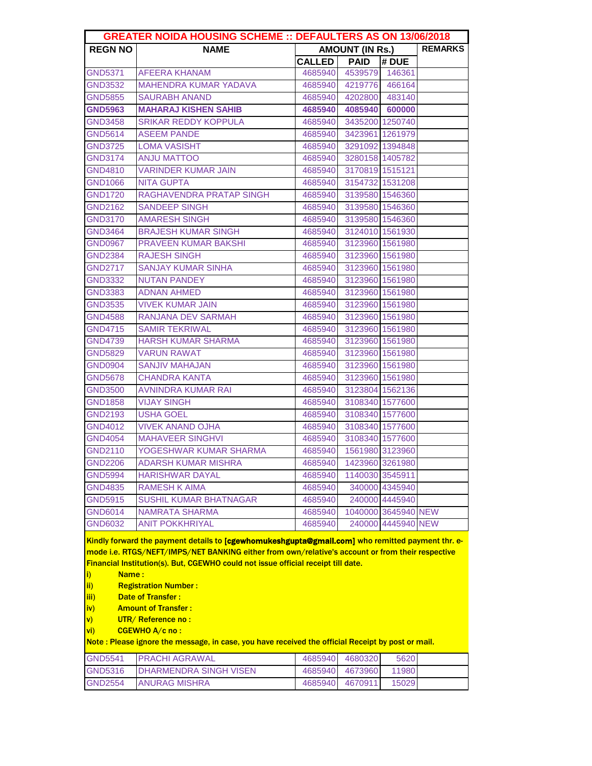| <b>GREATER NOIDA HOUSING SCHEME :: DEFAULTERS AS ON 13/06/2018</b>                                |                                                                                                                                                                                                      |                        |                        |                     |                |  |  |  |
|---------------------------------------------------------------------------------------------------|------------------------------------------------------------------------------------------------------------------------------------------------------------------------------------------------------|------------------------|------------------------|---------------------|----------------|--|--|--|
| <b>REGN NO</b>                                                                                    | <b>NAME</b>                                                                                                                                                                                          | <b>AMOUNT (IN Rs.)</b> |                        |                     | <b>REMARKS</b> |  |  |  |
|                                                                                                   |                                                                                                                                                                                                      | <b>CALLED</b>          | <b>PAID</b>            | # DUE               |                |  |  |  |
| <b>GND5371</b>                                                                                    | <b>AFEERA KHANAM</b>                                                                                                                                                                                 |                        | 4685940 4539579 146361 |                     |                |  |  |  |
| <b>GND3532</b>                                                                                    | <b>MAHENDRA KUMAR YADAVA</b>                                                                                                                                                                         | 4685940                |                        | 4219776 466164      |                |  |  |  |
| GND5855                                                                                           | <b>SAURABH ANAND</b>                                                                                                                                                                                 | 4685940                | 4202800 483140         |                     |                |  |  |  |
| <b>GND5963</b>                                                                                    | <b>MAHARAJ KISHEN SAHIB</b>                                                                                                                                                                          | 4685940                |                        | 4085940 600000      |                |  |  |  |
| <b>GND3458</b>                                                                                    | <b>SRIKAR REDDY KOPPULA</b>                                                                                                                                                                          | 4685940                |                        | 3435200 1250740     |                |  |  |  |
| <b>GND5614</b>                                                                                    | <b>ASEEM PANDE</b>                                                                                                                                                                                   | 4685940                |                        | 3423961 1261979     |                |  |  |  |
| <b>GND3725</b>                                                                                    | <b>LOMA VASISHT</b>                                                                                                                                                                                  | 4685940                |                        | 3291092 1394848     |                |  |  |  |
| <b>GND3174</b>                                                                                    | <b>ANJU MATTOO</b>                                                                                                                                                                                   | 4685940                |                        | 3280158 1405782     |                |  |  |  |
| GND4810                                                                                           | <b>VARINDER KUMAR JAIN</b>                                                                                                                                                                           | 4685940                |                        | 3170819 1515121     |                |  |  |  |
| <b>GND1066</b>                                                                                    | <b>NITA GUPTA</b>                                                                                                                                                                                    | 4685940                |                        | 3154732 1531208     |                |  |  |  |
| <b>GND1720</b>                                                                                    | RAGHAVENDRA PRATAP SINGH                                                                                                                                                                             | 4685940                |                        | 3139580 1546360     |                |  |  |  |
| <b>GND2162</b>                                                                                    | <b>SANDEEP SINGH</b>                                                                                                                                                                                 | 4685940                |                        | 3139580 1546360     |                |  |  |  |
| <b>GND3170</b>                                                                                    | <b>AMARESH SINGH</b>                                                                                                                                                                                 | 4685940                |                        | 3139580 1546360     |                |  |  |  |
| <b>GND3464</b>                                                                                    | <b>BRAJESH KUMAR SINGH</b>                                                                                                                                                                           | 4685940                |                        | 3124010 1561930     |                |  |  |  |
| <b>GND0967</b>                                                                                    | <b>PRAVEEN KUMAR BAKSHI</b>                                                                                                                                                                          | 4685940                |                        | 3123960 1561980     |                |  |  |  |
| <b>GND2384</b>                                                                                    | <b>RAJESH SINGH</b>                                                                                                                                                                                  | 4685940                |                        | 3123960 1561980     |                |  |  |  |
| <b>GND2717</b>                                                                                    | <b>SANJAY KUMAR SINHA</b>                                                                                                                                                                            | 4685940                |                        | 3123960 1561980     |                |  |  |  |
| <b>GND3332</b>                                                                                    | <b>NUTAN PANDEY</b>                                                                                                                                                                                  | 4685940                |                        | 3123960 1561980     |                |  |  |  |
| <b>GND3383</b>                                                                                    | <b>ADNAN AHMED</b>                                                                                                                                                                                   | 4685940                |                        | 3123960 1561980     |                |  |  |  |
| <b>GND3535</b>                                                                                    | <b>VIVEK KUMAR JAIN</b>                                                                                                                                                                              | 4685940                |                        | 3123960 1561980     |                |  |  |  |
| GND4588                                                                                           | <b>RANJANA DEV SARMAH</b>                                                                                                                                                                            | 4685940                |                        | 3123960 1561980     |                |  |  |  |
| <b>GND4715</b>                                                                                    | <b>SAMIR TEKRIWAL</b>                                                                                                                                                                                | 4685940                |                        | 3123960 1561980     |                |  |  |  |
| <b>GND4739</b>                                                                                    | HARSH KUMAR SHARMA                                                                                                                                                                                   | 4685940                |                        | 3123960 1561980     |                |  |  |  |
| <b>GND5829</b>                                                                                    | <b>VARUN RAWAT</b>                                                                                                                                                                                   | 4685940                |                        | 3123960 1561980     |                |  |  |  |
| <b>GND0904</b>                                                                                    | <b>SANJIV MAHAJAN</b>                                                                                                                                                                                | 4685940                |                        | 3123960 1561980     |                |  |  |  |
| <b>GND5678</b>                                                                                    | <b>CHANDRA KANTA</b>                                                                                                                                                                                 | 4685940                |                        | 3123960 1561980     |                |  |  |  |
| <b>GND3500</b>                                                                                    | <b>AVNINDRA KUMAR RAI</b>                                                                                                                                                                            | 4685940                |                        | 3123804 1562136     |                |  |  |  |
| <b>GND1858</b>                                                                                    | <b>VIJAY SINGH</b>                                                                                                                                                                                   | 4685940                |                        | 3108340 1577600     |                |  |  |  |
| <b>GND2193</b>                                                                                    | <b>USHA GOEL</b>                                                                                                                                                                                     | 4685940                |                        | 3108340 1577600     |                |  |  |  |
| <b>GND4012</b>                                                                                    | <b>VIVEK ANAND OJHA</b>                                                                                                                                                                              | 4685940                |                        | 3108340 1577600     |                |  |  |  |
| <b>GND4054</b>                                                                                    | <b>MAHAVEER SINGHVI</b>                                                                                                                                                                              | 4685940                |                        | 3108340 1577600     |                |  |  |  |
| <b>GND2110</b>                                                                                    | YOGESHWAR KUMAR SHARMA                                                                                                                                                                               | 4685940                |                        | 1561980 3123960     |                |  |  |  |
| <b>GND2206</b>                                                                                    | <b>ADARSH KUMAR MISHRA</b>                                                                                                                                                                           | 4685940                | 1423960 3261980        |                     |                |  |  |  |
| <b>GND5994</b>                                                                                    | <b>HARISHWAR DAYAL</b>                                                                                                                                                                               | 4685940                |                        | 1140030 3545911     |                |  |  |  |
| <b>GND4835</b>                                                                                    | <b>RAMESH K AIMA</b>                                                                                                                                                                                 | 4685940                |                        | 340000 4345940      |                |  |  |  |
| <b>GND5915</b>                                                                                    | <b>SUSHIL KUMAR BHATNAGAR</b>                                                                                                                                                                        | 4685940                |                        | 240000 4445940      |                |  |  |  |
| <b>GND6014</b>                                                                                    | <b>NAMRATA SHARMA</b>                                                                                                                                                                                | 4685940                |                        | 1040000 3645940 NEW |                |  |  |  |
| <b>GND6032</b>                                                                                    | <b>ANIT POKKHRIYAL</b>                                                                                                                                                                               | 4685940                |                        | 240000 4445940 NEW  |                |  |  |  |
|                                                                                                   |                                                                                                                                                                                                      |                        |                        |                     |                |  |  |  |
|                                                                                                   | Kindly forward the payment details to [cgewhomukeshgupta@gmail.com] who remitted payment thr. e-<br>mode i.e. RTGS/NEFT/IMPS/NET BANKING either from own/relative's account or from their respective |                        |                        |                     |                |  |  |  |
|                                                                                                   | Financial Institution(s). But, CGEWHO could not issue official receipt till date.                                                                                                                    |                        |                        |                     |                |  |  |  |
| Name:<br>i)                                                                                       |                                                                                                                                                                                                      |                        |                        |                     |                |  |  |  |
| <b>Registration Number:</b><br>ii)                                                                |                                                                                                                                                                                                      |                        |                        |                     |                |  |  |  |
| <b>Date of Transfer:</b><br>iii)                                                                  |                                                                                                                                                                                                      |                        |                        |                     |                |  |  |  |
| <b>Amount of Transfer:</b><br>iv)                                                                 |                                                                                                                                                                                                      |                        |                        |                     |                |  |  |  |
| UTR/Reference no:<br>$\mathsf{v}$                                                                 |                                                                                                                                                                                                      |                        |                        |                     |                |  |  |  |
| CGEWHO A/c no :<br>vi)                                                                            |                                                                                                                                                                                                      |                        |                        |                     |                |  |  |  |
| Note: Please ignore the message, in case, you have received the official Receipt by post or mail. |                                                                                                                                                                                                      |                        |                        |                     |                |  |  |  |
| <b>GND5541</b>                                                                                    | <b>PRACHI AGRAWAL</b>                                                                                                                                                                                | 4685940                | 4680320                | 5620                |                |  |  |  |
| <b>GND5316</b>                                                                                    | <b>DHARMENDRA SINGH VISEN</b>                                                                                                                                                                        | 4685940                | 4673960                | 11980               |                |  |  |  |

GND2554 ANURAG MISHRA 4685940 4670911 15029